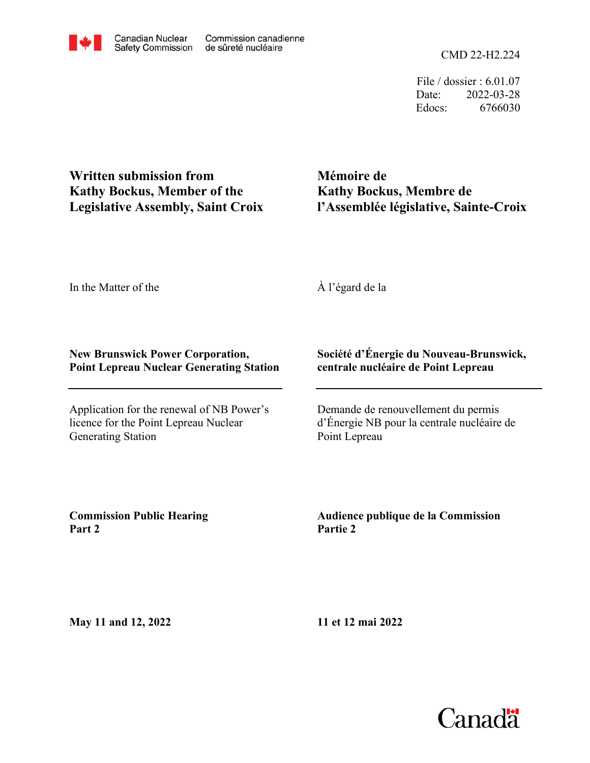CMD 22-H2.224

File / dossier : 6.01.07 Date: 2022-03-28 Edocs: 6766030

**Written submission from Kathy Bockus, Member of the Legislative Assembly, Saint Croix**

**Mémoire de Kathy Bockus, Membre de l'Assemblée législative, Sainte-Croix**

In the Matter of the

À l'égard de la

## **New Brunswick Power Corporation, Point Lepreau Nuclear Generating Station**

Application for the renewal of NB Power's licence for the Point Lepreau Nuclear Generating Station

## **Société d'Énergie du Nouveau-Brunswick, centrale nucléaire de Point Lepreau**

Demande de renouvellement du permis d'Énergie NB pour la centrale nucléaire de Point Lepreau

**Commission Public Hearing Part 2**

**Audience publique de la Commission Partie 2**

**May 11 and 12, 2022**

**11 et 12 mai 2022**